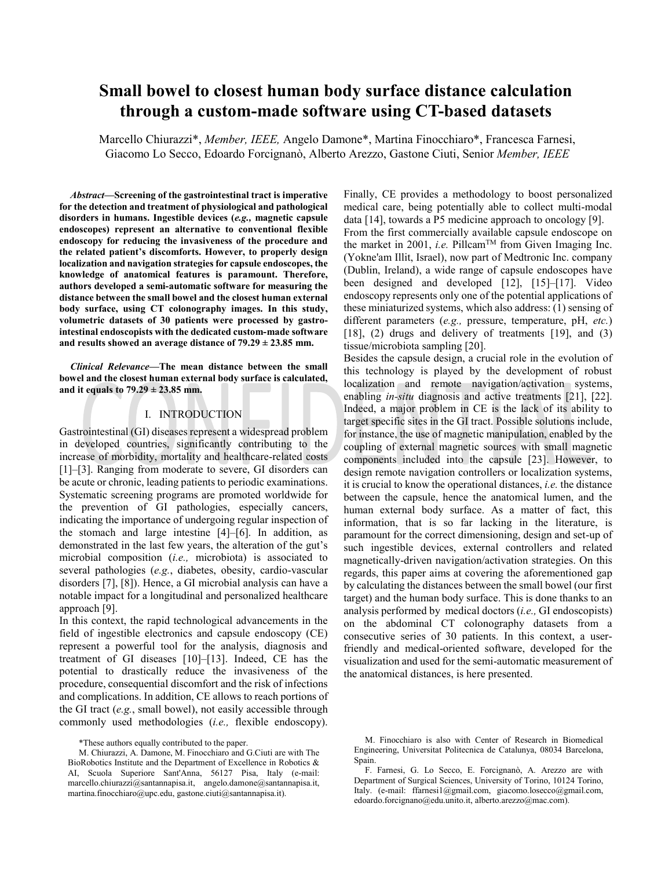# Small bowel to closest human body surface distance calculation through a custom-made software using CT-based datasets

Marcello Chiurazzi\*, Member, IEEE, Angelo Damone\*, Martina Finocchiaro\*, Francesca Farnesi, Giacomo Lo Secco, Edoardo Forcignano, Alberto Arezzo, Gastone Ciuti, Senior Member, IEEE

*Abstract*—Screening of the gastrointestinal tract is imperative for the detection and treatment of physiological and pathological disorders in humans. Ingestible devices (e.g., magnetic capsule endoscopes) represent an alternative to conventional flexible endoscopy for reducing the invasiveness of the procedure and the related patient's discomforts. However, to properly design localization and navigation strategies for capsule endoscopes, the knowledge of anatomical features is paramount. Therefore, authors developed a semi-automatic software for measuring the distance between the small bowel and the closest human external body surface, using CT colonography images. In this study, volumetric datasets of 30 patients were processed by gastrointestinal endoscopists with the dedicated custom-made software and results showed an average distance of  $79.29 \pm 23.85$  mm.

Clinical Relevance-The mean distance between the small bowel and the closest human external body surface is calculated, and it equals to  $79.29 \pm 23.85$  mm.

#### I. INTRODUCTION

Gastrointestinal (GI) diseases represent a widespread problem in developed countries, significantly contributing to the increase of morbidity, mortality and healthcare-related costs [1]-[3]. Ranging from moderate to severe, GI disorders can be acute or chronic, leading patients to periodic examinations. Systematic screening programs are promoted worldwide for the prevention of GI pathologies, especially cancers, indicating the importance of undergoing regular inspection of the stomach and large intestine [4]–[6]. In addition, as demonstrated in the last few years, the alteration of the gut's microbial composition *(i.e., microbiota)* is associated to several pathologies (e.g., diabetes, obesity, cardio-vascular disorders [7], [8]). Hence, a GI microbial analysis can have a notable impact for a longitudinal and personalized healthcare approach [9].

In this context, the rapid technological advancements in the field of ingestible electronics and capsule endoscopy (CE) represent a powerful tool for the analysis, diagnosis and treatment of GI diseases [10]-[13]. Indeed, CE has the potential to drastically reduce the invasiveness of the procedure, consequential discomfort and the risk of infections and complications. In addition, CE allows to reach portions of the GI tract  $(e.g., small$  bowel), not easily accessible through commonly used methodologies (i.e., flexible endoscopy).

Finally, CE provides a methodology to boost personalized medical care, being potentially able to collect multi-modal data [14], towards a P5 medicine approach to oncology [9]. From the first commercially available capsule endoscope on the market in 2001, *i.e.* Pillcam<sup>TM</sup> from Given Imaging Inc. (Yokne'am Illit, Israel), now part of Medtronic Inc. company (Dublin, Ireland), a wide range of capsule endoscopes have been designed and developed [12], [15]-[17]. Video endoscopy represents only one of the potential applications of these miniaturized systems, which also address: (1) sensing of different parameters (e.g., pressure, temperature, pH, etc.) [18], (2) drugs and delivery of treatments [19], and (3) tissue/microbiota sampling [20].

Besides the capsule design, a crucial role in the evolution of this technology is played by the development of robust localization and remote navigation/activation systems, enabling *in-situ* diagnosis and active treatments [21], [22]. Indeed, a major problem in CE is the lack of its ability to target specific sites in the GI tract. Possible solutions include, for instance, the use of magnetic manipulation, enabled by the coupling of external magnetic sources with small magnetic components included into the capsule [23]. However, to design remote navigation controllers or localization systems, it is crucial to know the operational distances, *i.e.* the distance between the capsule, hence the anatomical lumen, and the human external body surface. As a matter of fact, this information, that is so far lacking in the literature, is paramount for the correct dimensioning, design and set-up of such ingestible devices, external controllers and related magnetically-driven navigation/activation strategies. On this regards, this paper aims at covering the aforementioned gap by calculating the distances between the small bowel (our first target) and the human body surface. This is done thanks to an analysis performed by medical doctors  $(i.e., G1$  endoscopists) on the abdominal CT colonography datasets from a consecutive series of 30 patients. In this context, a userfriendly and medical-oriented software, developed for the visualization and used for the semi-automatic measurement of the anatomical distances, is here presented.

<sup>\*</sup>These authors equally contributed to the paper.

M. Chiurazzi, A. Damone, M. Finocchiaro and G.Ciuti are with The BioRobotics Institute and the Department of Excellence in Robotics  $\&$ AI, Scuola Superiore Sant'Anna, 56127 Pisa, Italy (e-mail: marcello.chiurazzi@santannapisa.it, angelo.damone@santannapisa.it, martina.finocchiaro@upc.edu, gastone.ciuti@santannapisa.it).

M. Finocchiaro is also with Center of Research in Biomedical Engineering, Universitat Politecnica de Catalunya, 08034 Barcelona, Spain.

F. Farnesi, G. Lo Secco, E. Forcignanò, A. Arezzo are with Department of Surgical Sciences, University of Torino, 10124 Torino, Italy. (e-mail: ffarnesi1@gmail.com, giacomo.losecco@gmail.com, edoardo.forcignano@edu.unito.it, alberto.arezzo@mac.com).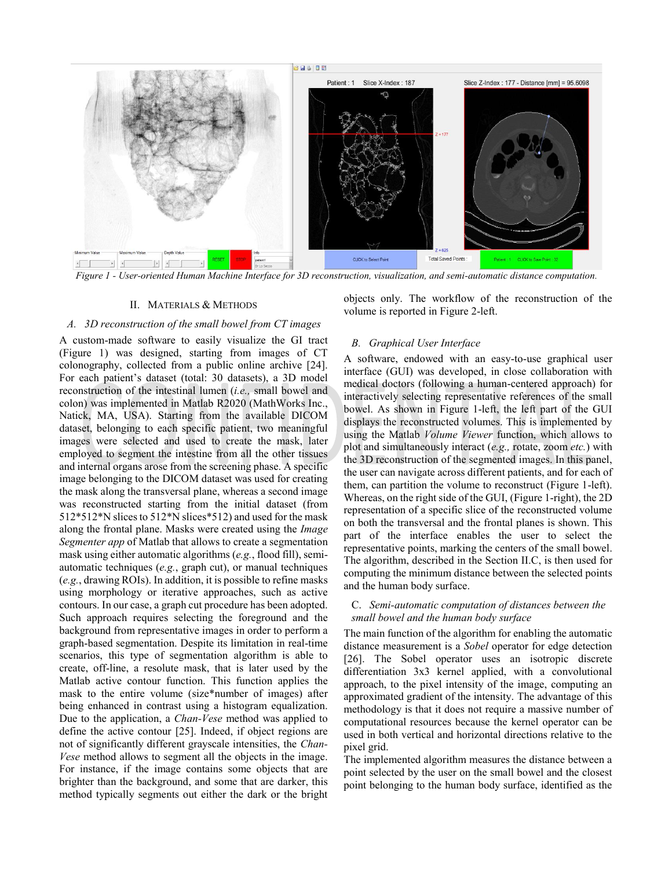

Figure 1 - User-oriented Human Machine Interface for 3D reconstruction, visualization, and semi-automatic distance computation.

#### II. MATERIALS & METHODS

#### A. 3D reconstruction of the small bowel from CT images

A custom-made software to easily visualize the GI tract (Figure 1) was designed, starting from images of CT colonography, collected from a public online archive [24]. For each patient's dataset (total: 30 datasets), a 3D model reconstruction of the intestinal lumen *(i.e., small bowel and* colon) was implemented in Matlab R2020 (MathWorks Inc., Natick, MA, USA). Starting from the available DICOM dataset, belonging to each specific patient, two meaningful images were selected and used to create the mask, later employed to segment the intestine from all the other tissues and internal organs arose from the screening phase. A specific image belonging to the DICOM dataset was used for creating the mask along the transversal plane, whereas a second image was reconstructed starting from the initial dataset (from 512\*512\*N slices to 512\*N slices\*512) and used for the mask along the frontal plane. Masks were created using the *Image* Segmenter app of Matlab that allows to create a segmentation mask using either automatic algorithms (e.g., flood fill), semiautomatic techniques (e.g., graph cut), or manual techniques (e.g., drawing ROIs). In addition, it is possible to refine masks using morphology or iterative approaches, such as active contours. In our case, a graph cut procedure has been adopted. Such approach requires selecting the foreground and the background from representative images in order to perform a graph-based segmentation. Despite its limitation in real-time scenarios, this type of segmentation algorithm is able to create, off-line, a resolute mask, that is later used by the Matlab active contour function. This function applies the mask to the entire volume (size\*number of images) after being enhanced in contrast using a histogram equalization. Due to the application, a Chan-Vese method was applied to define the active contour [25]. Indeed, if object regions are not of significantly different grayscale intensities, the *Chan*-Vese method allows to segment all the objects in the image. For instance, if the image contains some objects that are brighter than the background, and some that are darker, this method typically segments out either the dark or the bright

objects only. The workflow of the reconstruction of the volume is reported in Figure 2-left.

# **B.** Graphical User Interface

A software, endowed with an easy-to-use graphical user interface (GUI) was developed, in close collaboration with medical doctors (following a human-centered approach) for interactively selecting representative references of the small bowel. As shown in Figure 1-left, the left part of the GUI displays the reconstructed volumes. This is implemented by using the Matlab *Volume Viewer* function, which allows to plot and simultaneously interact (e.g., rotate, zoom etc.) with the 3D reconstruction of the segmented images. In this panel, the user can navigate across different patients, and for each of them, can partition the volume to reconstruct (Figure 1-left). Whereas, on the right side of the GUI, (Figure 1-right), the 2D representation of a specific slice of the reconstructed volume on both the transversal and the frontal planes is shown. This part of the interface enables the user to select the representative points, marking the centers of the small bowel. The algorithm, described in the Section II.C, is then used for computing the minimum distance between the selected points and the human body surface.

# C. Semi-automatic computation of distances between the small bowel and the human body surface

The main function of the algorithm for enabling the automatic distance measurement is a Sobel operator for edge detection [26]. The Sobel operator uses an isotropic discrete differentiation 3x3 kernel applied, with a convolutional approach, to the pixel intensity of the image, computing an approximated gradient of the intensity. The advantage of this methodology is that it does not require a massive number of computational resources because the kernel operator can be used in both vertical and horizontal directions relative to the pixel grid.

The implemented algorithm measures the distance between a point selected by the user on the small bowel and the closest point belonging to the human body surface, identified as the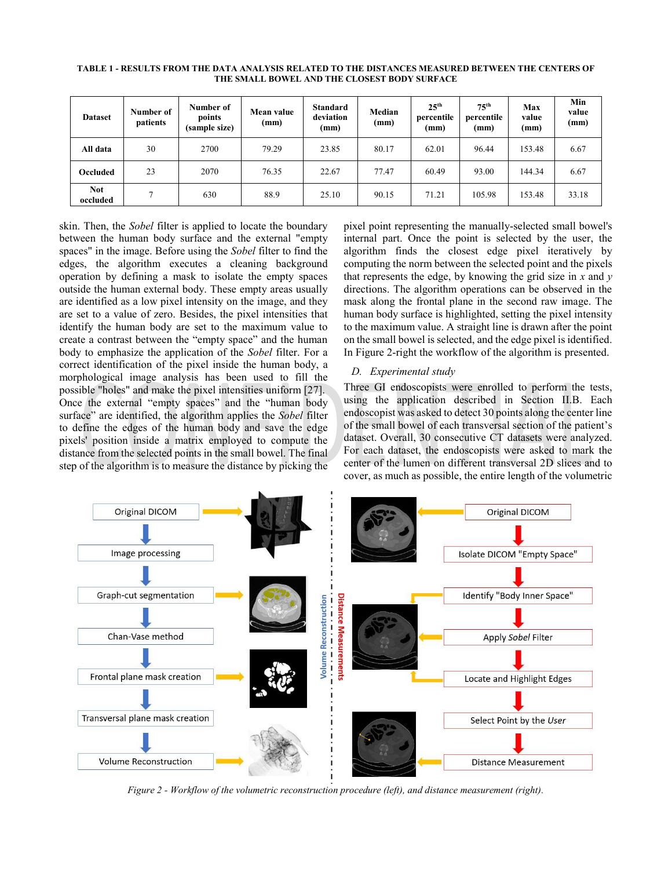| <b>Dataset</b>         | Number of<br>patients | Number of<br>points<br>(sample size) | Mean value<br>(mm) | <b>Standard</b><br>deviation<br>(mm) | Median<br>(mm) | 25 <sup>th</sup><br>percentile<br>(mm) | 75 <sup>th</sup><br>percentile<br>(mm) | Max<br>value<br>(mm) | Min<br>value<br>(mm) |
|------------------------|-----------------------|--------------------------------------|--------------------|--------------------------------------|----------------|----------------------------------------|----------------------------------------|----------------------|----------------------|
| All data               | 30                    | 2700                                 | 79.29              | 23.85                                | 80.17          | 62.01                                  | 96.44                                  | 153.48               | 6.67                 |
| Occluded               | 23                    | 2070                                 | 76.35              | 22.67                                | 77.47          | 60.49                                  | 93.00                                  | 144.34               | 6.67                 |
| <b>Not</b><br>occluded | ⇁                     | 630                                  | 88.9               | 25.10                                | 90.15          | 71.21                                  | 105.98                                 | 153.48               | 33.18                |

TABLE 1 - RESULTS FROM THE DATA ANALYSIS RELATED TO THE DISTANCES MEASURED BETWEEN THE CENTERS OF THE SMALL BOWEL AND THE CLOSEST BODY SURFACE

skin. Then, the *Sobel* filter is applied to locate the boundary between the human body surface and the external "empty spaces" in the image. Before using the *Sobel* filter to find the edges, the algorithm executes a cleaning background operation by defining a mask to isolate the empty spaces outside the human external body. These empty areas usually are identified as a low pixel intensity on the image, and they are set to a value of zero. Besides, the pixel intensities that identify the human body are set to the maximum value to create a contrast between the "empty space" and the human body to emphasize the application of the *Sobel* filter. For a correct identification of the pixel inside the human body, a morphological image analysis has been used to fill the possible "holes" and make the pixel intensities uniform [27]. Once the external "empty spaces" and the "human body surface" are identified, the algorithm applies the Sobel filter to define the edges of the human body and save the edge pixels' position inside a matrix employed to compute the distance from the selected points in the small bowel. The final step of the algorithm is to measure the distance by picking the pixel point representing the manually-selected small bowel's internal part. Once the point is selected by the user, the algorithm finds the closest edge pixel iteratively by computing the norm between the selected point and the pixels that represents the edge, by knowing the grid size in  $x$  and  $y$ directions. The algorithm operations can be observed in the mask along the frontal plane in the second raw image. The human body surface is highlighted, setting the pixel intensity to the maximum value. A straight line is drawn after the point on the small bowel is selected, and the edge pixel is identified. In Figure 2-right the workflow of the algorithm is presented.

# D. Experimental study

Three GI endoscopists were enrolled to perform the tests, using the application described in Section II.B. Each endoscopist was asked to detect 30 points along the center line of the small bowel of each transversal section of the patient's dataset. Overall, 30 consecutive CT datasets were analyzed. For each dataset, the endoscopists were asked to mark the center of the lumen on different transversal 2D slices and to cover, as much as possible, the entire length of the volumetric



Figure 2 - Workflow of the volumetric reconstruction procedure (left), and distance measurement (right).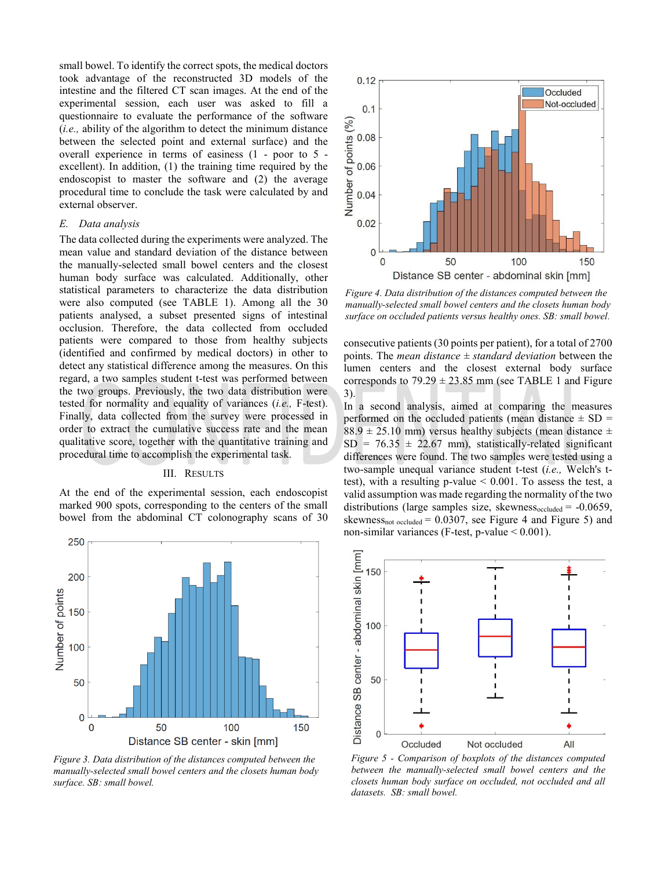small bowel. To identify the correct spots, the medical doctors took advantage of the reconstructed 3D models of the intestine and the filtered CT scan images. At the end of the experimental session, each user was asked to fill a questionnaire to evaluate the performance of the software *(i.e., ability of the algorithm to detect the minimum distance)* between the selected point and external surface) and the overall experience in terms of easiness  $(1 - poor to 5$ excellent). In addition, (1) the training time required by the endoscopist to master the software and (2) the average procedural time to conclude the task were calculated by and external observer.

# E. Data analysis

The data collected during the experiments were analyzed. The mean value and standard deviation of the distance between the manually-selected small bowel centers and the closest human body surface was calculated. Additionally, other statistical parameters to characterize the data distribution were also computed (see TABLE 1). Among all the 30 patients analysed, a subset presented signs of intestinal occlusion. Therefore, the data collected from occluded patients were compared to those from healthy subjects (identified and confirmed by medical doctors) in other to detect any statistical difference among the measures. On this regard, a two samples student t-test was performed between the two groups. Previously, the two data distribution were tested for normality and equality of variances (i.e., F-test). Finally, data collected from the survey were processed in order to extract the cumulative success rate and the mean qualitative score, together with the quantitative training and procedural time to accomplish the experimental task.

#### III. RESULTS

At the end of the experimental session, each endoscopist marked 900 spots, corresponding to the centers of the small bowel from the abdominal CT colonography scans of 30



Figure 3. Data distribution of the distances computed between the manually-selected small bowel centers and the closets human body surface. SB: small bowel.



Figure 4. Data distribution of the distances computed between the manually-selected small bowel centers and the closets human body surface on occluded patients versus healthy ones. SB: small bowel.

consecutive patients (30 points per patient), for a total of 2700 points. The *mean distance*  $\pm$  *standard deviation* between the lumen centers and the closest external body surface corresponds to  $79.29 \pm 23.85$  mm (see TABLE 1 and Figure  $3)$ 

In a second analysis, aimed at comparing the measures performed on the occluded patients (mean distance  $\pm$  SD =  $88.9 \pm 25.10$  mm) versus healthy subjects (mean distance  $\pm$  $SD = 76.35 \pm 22.67$  mm), statistically-related significant differences were found. The two samples were tested using a two-sample unequal variance student t-test (i.e., Welch's ttest), with a resulting p-value  $< 0.001$ . To assess the test, a valid assumption was made regarding the normality of the two distributions (large samples size, skewness $_{\text{occluded}}$  = -0.0659, skewness<sub>not occluded</sub> =  $0.0307$ , see Figure 4 and Figure 5) and non-similar variances (F-test, p-value  $< 0.001$ ).



Figure 5 - Comparison of boxplots of the distances computed between the manually-selected small bowel centers and the closets human body surface on occluded, not occluded and all datasets. SB: small bowel.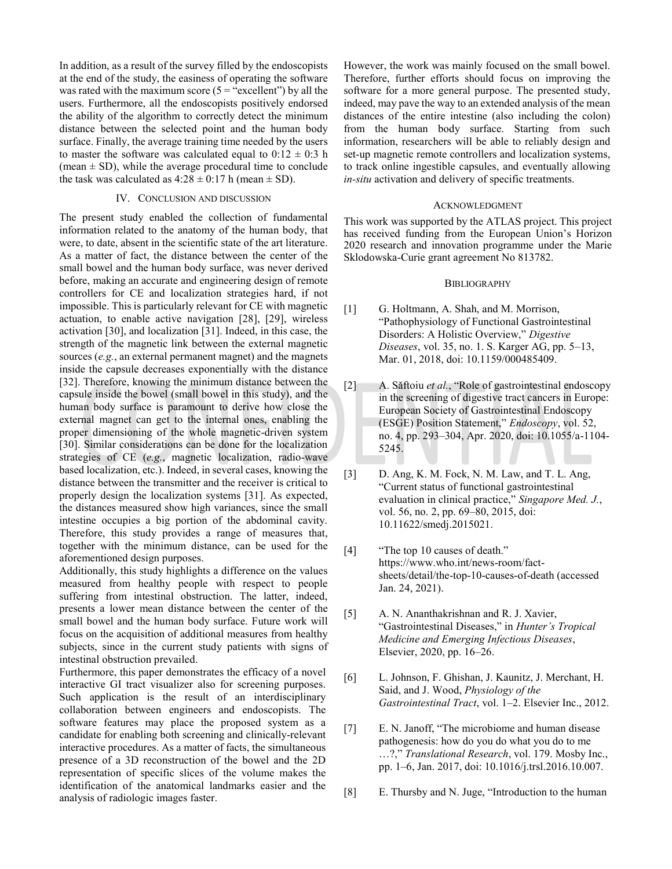In addition, as a result of the survey filled by the endoscopists at the end of the study, the easiness of operating the software was rated with the maximum score  $(5 = "excellent")$  by all the users. Furthermore, all the endoscopists positively endorsed the ability of the algorithm to correctly detect the minimum distance between the selected point and the human body surface. Finally, the average training time needed by the users to master the software was calculated equal to  $0.12 \pm 0.3$  h (mean  $\pm$  SD), while the average procedural time to conclude the task was calculated as  $4:28 \pm 0:17$  h (mean  $\pm$  SD).

# IV. CONCLUSION AND DISCUSSION

The present study enabled the collection of fundamental information related to the anatomy of the human body, that were, to date, absent in the scientific state of the art literature. As a matter of fact, the distance between the center of the small bowel and the human body surface, was never derived before, making an accurate and engineering design of remote controllers for CE and localization strategies hard, if not impossible. This is particularly relevant for CE with magnetic actuation, to enable active navigation [28], [29], wireless activation [30], and localization [31]. Indeed, in this case, the strength of the magnetic link between the external magnetic sources  $(e.g.,$  an external permanent magnet) and the magnets inside the capsule decreases exponentially with the distance [32]. Therefore, knowing the minimum distance between the capsule inside the bowel (small bowel in this study), and the human body surface is paramount to derive how close the external magnet can get to the internal ones, enabling the proper dimensioning of the whole magnetic-driven system [30]. Similar considerations can be done for the localization strategies of CE (e.g., magnetic localization, radio-wave based localization, etc.). Indeed, in several cases, knowing the distance between the transmitter and the receiver is critical to properly design the localization systems [31]. As expected, the distances measured show high variances, since the small intestine occupies a big portion of the abdominal cavity. Therefore, this study provides a range of measures that, together with the minimum distance, can be used for the aforementioned design purposes.

Additionally, this study highlights a difference on the values measured from healthy people with respect to people suffering from intestinal obstruction. The latter, indeed, presents a lower mean distance between the center of the small bowel and the human body surface. Future work will focus on the acquisition of additional measures from healthy subjects, since in the current study patients with signs of intestinal obstruction prevailed.

Furthermore, this paper demonstrates the efficacy of a novel interactive GI tract visualizer also for screening purposes. Such application is the result of an interdisciplinary collaboration between engineers and endoscopists. The software features may place the proposed system as a candidate for enabling both screening and clinically-relevant interactive procedures. As a matter of facts, the simultaneous presence of a 3D reconstruction of the bowel and the 2D representation of specific slices of the volume makes the identification of the anatomical landmarks easier and the analysis of radiologic images faster.

However, the work was mainly focused on the small bowel. Therefore, further efforts should focus on improving the software for a more general purpose. The presented study, indeed, may pave the way to an extended analysis of the mean distances of the entire intestine (also including the colon) from the human body surface. Starting from such information, researchers will be able to reliably design and set-up magnetic remote controllers and localization systems. to track online ingestible capsules, and eventually allowing *in-situ* activation and delivery of specific treatments.

#### **ACKNOWLEDGMENT**

This work was supported by the ATLAS project. This project has received funding from the European Union's Horizon 2020 research and innovation programme under the Marie Sklodowska-Curie grant agreement No 813782.

#### **BIBLIOGRAPHY**

- G. Holtmann, A. Shah, and M. Morrison,  $\lceil 1 \rceil$ "Pathophysiology of Functional Gastrointestinal Disorders: A Holistic Overview," Digestive Diseases, vol. 35, no. 1. S. Karger AG, pp. 5–13, Mar. 01, 2018, doi: 10.1159/000485409.
- $\lceil 2 \rceil$ A. Săftoiu et al., "Role of gastrointestinal endoscopy in the screening of digestive tract cancers in Europe: European Society of Gastrointestinal Endoscopy (ESGE) Position Statement," Endoscopy, vol. 52, no. 4, pp. 293-304, Apr. 2020, doi: 10.1055/a-1104-5245.
- D. Ang, K. M. Fock, N. M. Law, and T. L. Ang,  $\lceil 3 \rceil$ "Current status of functional gastrointestinal evaluation in clinical practice," Singapore Med. J., vol. 56, no. 2, pp. 69–80, 2015, doi: 10.11622/smedj.2015021.
- $[4]$ "The top 10 causes of death." https://www.who.int/news-room/factsheets/detail/the-top-10-causes-of-death (accessed Jan. 24, 2021).
- $\lceil 5 \rceil$ A. N. Ananthakrishnan and R. J. Xavier, "Gastrointestinal Diseases," in Hunter's Tropical Medicine and Emerging Infectious Diseases, Elsevier, 2020, pp. 16–26.
- $[6]$ L. Johnson, F. Ghishan, J. Kaunitz, J. Merchant, H. Said, and J. Wood, Physiology of the Gastrointestinal Tract, vol. 1–2. Elsevier Inc., 2012.
- $[7]$ E. N. Janoff, "The microbiome and human disease pathogenesis: how do you do what you do to me ...?," Translational Research, vol. 179. Mosby Inc., pp. 1-6, Jan. 2017, doi: 10.1016/j.trsl.2016.10.007.
- $[8]$ E. Thursby and N. Juge, "Introduction to the human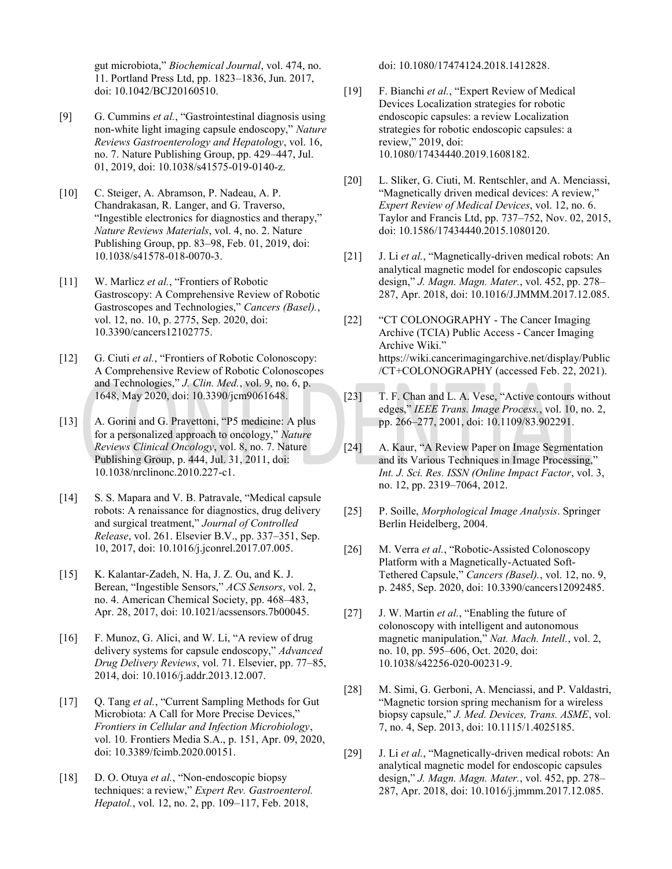gut microbiota," Biochemical Journal, vol. 474, no. 11. Portland Press Ltd, pp. 1823-1836, Jun. 2017, doi: 10.1042/BCJ20160510.

- G. Cummins et al., "Gastrointestinal diagnosis using  $[9]$ non-white light imaging capsule endoscopy," Nature Reviews Gastroenterology and Hepatology, vol. 16, no. 7. Nature Publishing Group, pp. 429–447, Jul. 01, 2019, doi: 10.1038/s41575-019-0140-z.
- $\lceil 10 \rceil$ C. Steiger, A. Abramson, P. Nadeau, A. P. Chandrakasan, R. Langer, and G. Traverso, "Ingestible electronics for diagnostics and therapy," Nature Reviews Materials, vol. 4, no. 2. Nature Publishing Group, pp. 83–98, Feb. 01, 2019, doi: 10.1038/s41578-018-0070-3.
- $[11]$ W. Marlicz et al., "Frontiers of Robotic Gastroscopy: A Comprehensive Review of Robotic Gastroscopes and Technologies," Cancers (Basel)., vol. 12, no. 10, p. 2775, Sep. 2020, doi: 10.3390/cancers12102775.
- G. Ciuti et al., "Frontiers of Robotic Colonoscopy:  $\lceil 12 \rceil$ A Comprehensive Review of Robotic Colonoscopes and Technologies," J. Clin. Med., vol. 9, no. 6, p. 1648, May 2020, doi: 10.3390/jcm9061648.
- $[13]$ A. Gorini and G. Pravettoni, "P5 medicine: A plus for a personalized approach to oncology," Nature Reviews Clinical Oncology, vol. 8, no. 7. Nature Publishing Group, p. 444, Jul. 31, 2011, doi: 10.1038/nrclinonc.2010.227-c1.
- $\lceil 14 \rceil$ S. S. Mapara and V. B. Patravale, "Medical capsule robots: A renaissance for diagnostics, drug delivery and surgical treatment," Journal of Controlled Release, vol. 261. Elsevier B.V., pp. 337-351, Sep. 10, 2017, doi: 10.1016/j.jconrel.2017.07.005.
- K. Kalantar-Zadeh, N. Ha, J. Z. Ou, and K. J.  $[15]$ Berean, "Ingestible Sensors," ACS Sensors, vol. 2, no. 4. American Chemical Society, pp. 468–483, Apr. 28, 2017, doi: 10.1021/acssensors.7b00045.
- F. Munoz, G. Alici, and W. Li, "A review of drug  $[16]$ delivery systems for capsule endoscopy," Advanced Drug Delivery Reviews, vol. 71. Elsevier, pp. 77–85, 2014, doi: 10.1016/j.addr.2013.12.007.
- Q. Tang et al., "Current Sampling Methods for Gut  $\lceil 17 \rceil$ Microbiota: A Call for More Precise Devices," Frontiers in Cellular and Infection Microbiology, vol. 10. Frontiers Media S.A., p. 151, Apr. 09, 2020, doi: 10.3389/fcimb.2020.00151.
- $[18]$ D. O. Otuya et al., "Non-endoscopic biopsy techniques: a review," Expert Rev. Gastroenterol. Hepatol., vol. 12, no. 2, pp. 109-117, Feb. 2018,

doi: 10.1080/17474124.2018.1412828.

- F. Bianchi et al., "Expert Review of Medical  $[19]$ Devices Localization strategies for robotic endoscopic capsules: a review Localization strategies for robotic endoscopic capsules: a review." 2019. doi: 10.1080/17434440.2019.1608182.
- L. Sliker, G. Ciuti, M. Rentschler, and A. Menciassi,  $[20]$ "Magnetically driven medical devices: A review," Expert Review of Medical Devices, vol. 12, no. 6. Taylor and Francis Ltd, pp. 737–752, Nov. 02, 2015, doi: 10.1586/17434440.2015.1080120.
- $[21]$ J. Li et al., "Magnetically-driven medical robots: An analytical magnetic model for endoscopic capsules design," J. Magn. Magn. Mater., vol. 452, pp. 278– 287, Apr. 2018, doi: 10.1016/J.JMMM.2017.12.085.
- $[22]$ "CT COLONOGRAPHY - The Cancer Imaging Archive (TCIA) Public Access - Cancer Imaging Archive Wiki." https://wiki.cancerimagingarchive.net/display/Public /CT+COLONOGRAPHY (accessed Feb. 22, 2021).
- T. F. Chan and L. A. Vese, "Active contours without  $[23]$ edges," IEEE Trans. Image Process., vol. 10, no. 2, pp. 266-277, 2001, doi: 10.1109/83.902291.
- $[24]$ A. Kaur, "A Review Paper on Image Segmentation and its Various Techniques in Image Processing." Int. J. Sci. Res. ISSN (Online Impact Factor, vol. 3, no. 12, pp. 2319-7064, 2012.
- P. Soille, Morphological Image Analysis. Springer  $\lceil 25 \rceil$ Berlin Heidelberg, 2004.
- M. Verra et al., "Robotic-Assisted Colonoscopy  $[26]$ Platform with a Magnetically-Actuated Soft-Tethered Capsule," Cancers (Basel)., vol. 12, no. 9, p. 2485, Sep. 2020, doi: 10.3390/cancers12092485.
- J. W. Martin et al., "Enabling the future of  $[27]$ colonoscopy with intelligent and autonomous magnetic manipulation," Nat. Mach. Intell., vol. 2, no. 10, pp. 595–606, Oct. 2020, doi: 10.1038/s42256-020-00231-9.
- $[28]$ M. Simi, G. Gerboni, A. Menciassi, and P. Valdastri, "Magnetic torsion spring mechanism for a wireless biopsy capsule," J. Med. Devices, Trans. ASME, vol. 7, no. 4, Sep. 2013, doi: 10.1115/1.4025185.
- $[29]$ J. Li et al., "Magnetically-driven medical robots: An analytical magnetic model for endoscopic capsules design," J. Magn. Magn. Mater., vol. 452, pp. 278-287, Apr. 2018, doi: 10.1016/j.jmmm.2017.12.085.